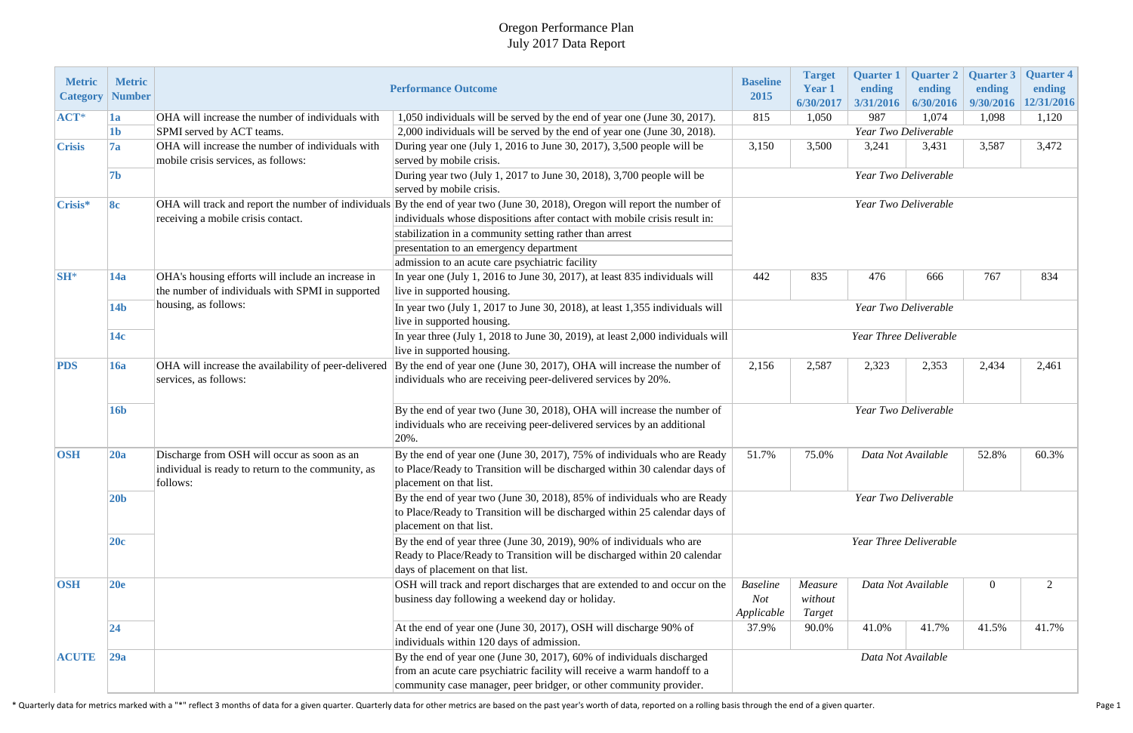## Oregon Performance Plan July 2017 Data Report

| <b>Metric</b><br><b>Category</b> | <b>Metric</b><br><b>Number</b> |                                                                                                               | <b>Performance Outcome</b>                                                                                                                                                                                              | <b>Baseline</b><br>2015                        | <b>Target</b><br><b>Year 1</b><br>6/30/2017        | <b>Quarter 1</b><br>ending<br>3/31/2016 | <b>Quarter 2</b><br>ending<br>6/30/2016 | <b>Quarter 3</b><br>ending<br>9/30/2016 | <b>Quarter 4</b><br>ending<br>12/31/2016 |  |
|----------------------------------|--------------------------------|---------------------------------------------------------------------------------------------------------------|-------------------------------------------------------------------------------------------------------------------------------------------------------------------------------------------------------------------------|------------------------------------------------|----------------------------------------------------|-----------------------------------------|-----------------------------------------|-----------------------------------------|------------------------------------------|--|
| ACT*                             | 1a                             | OHA will increase the number of individuals with                                                              | 1,050 individuals will be served by the end of year one (June 30, 2017).                                                                                                                                                | 815                                            | 1,050                                              | 987                                     | 1,074                                   | 1,098                                   | 1,120                                    |  |
|                                  | 1 <sub>b</sub>                 | SPMI served by ACT teams.                                                                                     | 2,000 individuals will be served by the end of year one (June 30, 2018).                                                                                                                                                | Year Two Deliverable                           |                                                    |                                         |                                         |                                         |                                          |  |
| <b>Crisis</b>                    | 7a                             | OHA will increase the number of individuals with<br>mobile crisis services, as follows:                       | During year one (July 1, 2016 to June 30, 2017), 3,500 people will be<br>served by mobile crisis.                                                                                                                       | 3,150                                          | 3,500                                              | 3,241                                   | 3,431                                   | 3,587                                   | 3,472                                    |  |
|                                  | 7b                             |                                                                                                               | During year two (July 1, 2017 to June 30, 2018), 3,700 people will be<br>served by mobile crisis.                                                                                                                       | Year Two Deliverable                           |                                                    |                                         |                                         |                                         |                                          |  |
| Crisis*                          | 8c                             | receiving a mobile crisis contact.                                                                            | OHA will track and report the number of individuals By the end of year two (June 30, 2018), Oregon will report the number of<br>individuals whose dispositions after contact with mobile crisis result in:              | Year Two Deliverable                           |                                                    |                                         |                                         |                                         |                                          |  |
|                                  |                                |                                                                                                               | stabilization in a community setting rather than arrest                                                                                                                                                                 |                                                |                                                    |                                         |                                         |                                         |                                          |  |
|                                  |                                |                                                                                                               | presentation to an emergency department                                                                                                                                                                                 |                                                |                                                    |                                         |                                         |                                         |                                          |  |
|                                  |                                |                                                                                                               | admission to an acute care psychiatric facility                                                                                                                                                                         |                                                |                                                    |                                         |                                         |                                         |                                          |  |
| $SH^*$                           | 14a                            | OHA's housing efforts will include an increase in<br>the number of individuals with SPMI in supported         | In year one (July 1, 2016 to June 30, 2017), at least 835 individuals will<br>live in supported housing.                                                                                                                | 442                                            | 835                                                | 476                                     | 666                                     | 767                                     | 834                                      |  |
|                                  | 14 <sub>b</sub>                | housing, as follows:                                                                                          | In year two (July 1, 2017 to June 30, 2018), at least 1,355 individuals will<br>live in supported housing.                                                                                                              | Year Two Deliverable                           |                                                    |                                         |                                         |                                         |                                          |  |
|                                  | 14c                            |                                                                                                               | In year three (July 1, 2018 to June 30, 2019), at least 2,000 individuals will<br>live in supported housing.                                                                                                            | Year Three Deliverable                         |                                                    |                                         |                                         |                                         |                                          |  |
| <b>PDS</b>                       | 16a                            | OHA will increase the availability of peer-delivered<br>services, as follows:                                 | By the end of year one (June 30, 2017), OHA will increase the number of<br>individuals who are receiving peer-delivered services by 20%.                                                                                | 2,156                                          | 2,587                                              | 2,323                                   | 2,353                                   | 2,434                                   | 2,461                                    |  |
|                                  | <b>16b</b>                     |                                                                                                               | By the end of year two (June 30, 2018), OHA will increase the number of<br>individuals who are receiving peer-delivered services by an additional<br>20%.                                                               | Year Two Deliverable                           |                                                    |                                         |                                         |                                         |                                          |  |
| <b>OSH</b>                       | 20a                            | Discharge from OSH will occur as soon as an<br>individual is ready to return to the community, as<br>follows: | By the end of year one (June 30, 2017), 75% of individuals who are Ready<br>to Place/Ready to Transition will be discharged within 30 calendar days of<br>placement on that list.                                       | 51.7%<br>75.0%<br>Data Not Available<br>52.8%  |                                                    |                                         |                                         | 60.3%                                   |                                          |  |
|                                  | 20 <sub>b</sub>                |                                                                                                               | By the end of year two (June 30, 2018), 85% of individuals who are Ready<br>to Place/Ready to Transition will be discharged within 25 calendar days of<br>placement on that list.                                       | Year Two Deliverable<br>Year Three Deliverable |                                                    |                                         |                                         |                                         |                                          |  |
|                                  | 20c                            |                                                                                                               | By the end of year three (June 30, 2019), 90% of individuals who are<br>Ready to Place/Ready to Transition will be discharged within 20 calendar<br>days of placement on that list.                                     |                                                |                                                    |                                         |                                         |                                         |                                          |  |
| <b>OSH</b>                       | 20e                            |                                                                                                               | OSH will track and report discharges that are extended to and occur on the<br>business day following a weekend day or holiday.                                                                                          | <b>Baseline</b><br>Not<br>Applicable           | Data Not Available<br>Measure<br>without<br>Target |                                         |                                         | $\overline{0}$                          | $\overline{2}$                           |  |
|                                  | 24                             |                                                                                                               | At the end of year one (June 30, 2017), OSH will discharge 90% of<br>individuals within 120 days of admission.                                                                                                          | 37.9%                                          | 90.0%                                              | 41.0%                                   | 41.7%                                   | 41.5%                                   | 41.7%                                    |  |
| <b>ACUTE</b>                     | 29a                            |                                                                                                               | By the end of year one (June 30, 2017), 60% of individuals discharged<br>from an acute care psychiatric facility will receive a warm handoff to a<br>community case manager, peer bridger, or other community provider. | Data Not Available                             |                                                    |                                         |                                         |                                         |                                          |  |

\* Quarterly data for metrics marked with a "\*" reflect 3 months of data for a given quarter. Quarterly data for other metrics are based on the past year's worth of data, reported on a rolling basis through the end of a giv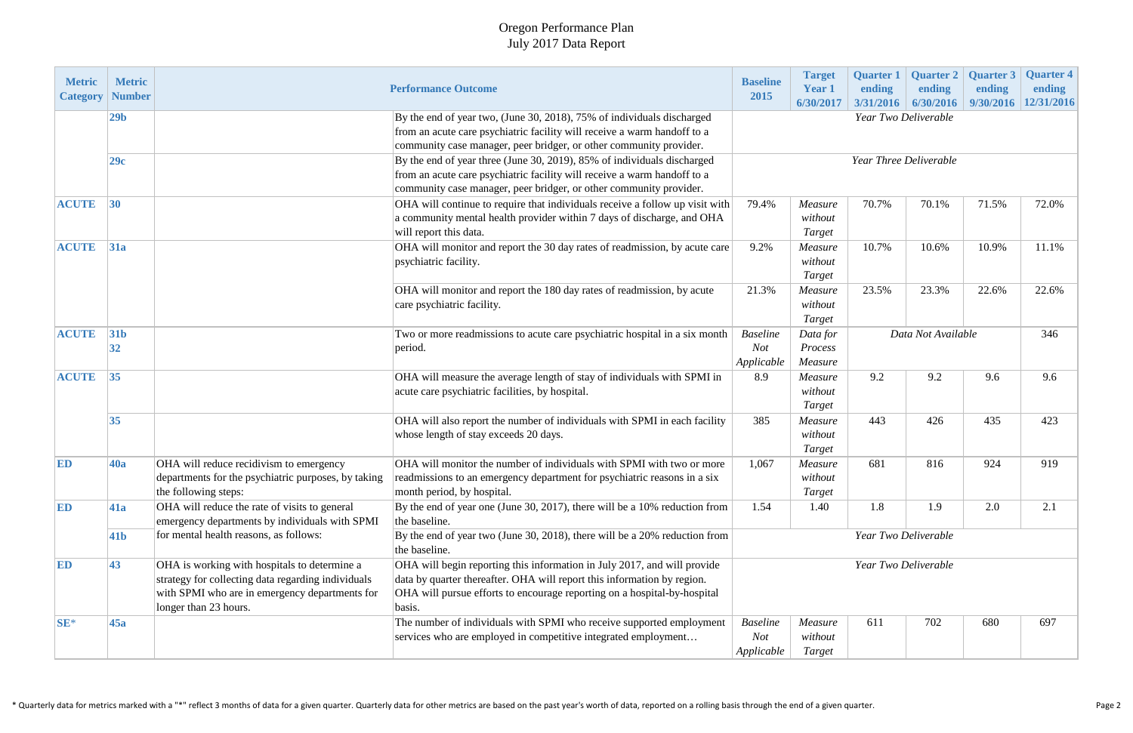## Oregon Performance Plan July 2017 Data Report

| <b>Metric</b><br><b>Category</b> | <b>Metric</b><br><b>Number</b> |                                                                                                                                                                               | <b>Performance Outcome</b>                                                                                                                                                                                                                | <b>Baseline</b><br>2015              | <b>Target</b><br><b>Year 1</b><br>6/30/2017 | <b>Quarter 1</b><br>ending<br>3/31/2016 | <b>Quarter 2</b><br>ending<br>6/30/2016 | <b>Quarter 3</b><br>ending<br>9/30/2016 | <b>Quarter 4</b><br>ending<br>12/31/2016 |  |
|----------------------------------|--------------------------------|-------------------------------------------------------------------------------------------------------------------------------------------------------------------------------|-------------------------------------------------------------------------------------------------------------------------------------------------------------------------------------------------------------------------------------------|--------------------------------------|---------------------------------------------|-----------------------------------------|-----------------------------------------|-----------------------------------------|------------------------------------------|--|
|                                  | 29 <sub>b</sub>                |                                                                                                                                                                               | By the end of year two, (June 30, 2018), 75% of individuals discharged<br>from an acute care psychiatric facility will receive a warm handoff to a<br>community case manager, peer bridger, or other community provider.                  | Year Two Deliverable                 |                                             |                                         |                                         |                                         |                                          |  |
|                                  | 29c                            |                                                                                                                                                                               | By the end of year three (June 30, 2019), 85% of individuals discharged<br>from an acute care psychiatric facility will receive a warm handoff to a<br>community case manager, peer bridger, or other community provider.                 | Year Three Deliverable               |                                             |                                         |                                         |                                         |                                          |  |
| <b>ACUTE</b>                     | 30                             |                                                                                                                                                                               | OHA will continue to require that individuals receive a follow up visit with<br>a community mental health provider within 7 days of discharge, and OHA<br>will report this data.                                                          | 79.4%                                | Measure<br>without<br><b>Target</b>         | 70.7%                                   | 70.1%                                   | 71.5%                                   | 72.0%                                    |  |
| <b>ACUTE</b>                     | 31a                            |                                                                                                                                                                               | OHA will monitor and report the 30 day rates of readmission, by acute care<br>psychiatric facility.                                                                                                                                       | 9.2%                                 | Measure<br>without<br>Target                | 10.7%                                   | 10.6%                                   | 10.9%                                   | 11.1%                                    |  |
|                                  |                                |                                                                                                                                                                               | OHA will monitor and report the 180 day rates of readmission, by acute<br>care psychiatric facility.                                                                                                                                      | 21.3%                                | Measure<br>without<br>Target                | 23.5%                                   | 23.3%                                   | 22.6%                                   | 22.6%                                    |  |
| <b>ACUTE</b>                     | 31 <sub>b</sub><br> 32         |                                                                                                                                                                               | Two or more readmissions to acute care psychiatric hospital in a six month<br>period.                                                                                                                                                     | <b>Baseline</b><br>Not<br>Applicable | Data for<br>Process<br>Measure              | Data Not Available                      |                                         |                                         | 346                                      |  |
| <b>ACUTE</b>                     | 35                             |                                                                                                                                                                               | OHA will measure the average length of stay of individuals with SPMI in<br>acute care psychiatric facilities, by hospital.                                                                                                                | 8.9                                  | Measure<br>without<br><b>Target</b>         | 9.2                                     | 9.2                                     | 9.6                                     | 9.6                                      |  |
|                                  | 35                             |                                                                                                                                                                               | OHA will also report the number of individuals with SPMI in each facility<br>whose length of stay exceeds 20 days.                                                                                                                        | 385                                  | Measure<br>without<br>Target                | 443                                     | 426                                     | 435                                     | 423                                      |  |
| ED                               | <b>40a</b>                     | OHA will reduce recidivism to emergency<br>departments for the psychiatric purposes, by taking<br>the following steps:                                                        | OHA will monitor the number of individuals with SPMI with two or more<br>readmissions to an emergency department for psychiatric reasons in a six<br>month period, by hospital.                                                           | 1,067                                | Measure<br>without<br>Target                | 681                                     | 816                                     | 924                                     | 919                                      |  |
| ED                               | 41a                            | OHA will reduce the rate of visits to general<br>emergency departments by individuals with SPMI                                                                               | By the end of year one (June 30, 2017), there will be a 10% reduction from<br>the baseline.                                                                                                                                               | 1.54                                 | 1.40                                        | 1.8                                     | 1.9                                     | 2.0                                     | 2.1                                      |  |
|                                  | 41 <sub>b</sub>                | for mental health reasons, as follows:                                                                                                                                        | By the end of year two (June 30, 2018), there will be a 20% reduction from<br>the baseline.                                                                                                                                               | Year Two Deliverable                 |                                             |                                         |                                         |                                         |                                          |  |
| ED                               | 43                             | OHA is working with hospitals to determine a<br>strategy for collecting data regarding individuals<br>with SPMI who are in emergency departments for<br>longer than 23 hours. | OHA will begin reporting this information in July 2017, and will provide<br>data by quarter thereafter. OHA will report this information by region.<br>OHA will pursue efforts to encourage reporting on a hospital-by-hospital<br>basis. | Year Two Deliverable                 |                                             |                                         |                                         |                                         |                                          |  |
| $SE^*$                           | 45a                            |                                                                                                                                                                               | The number of individuals with SPMI who receive supported employment<br>services who are employed in competitive integrated employment                                                                                                    | <b>Baseline</b><br>Not<br>Applicable | Measure<br>without<br>Target                | 611                                     | 702                                     | 680                                     | 697                                      |  |